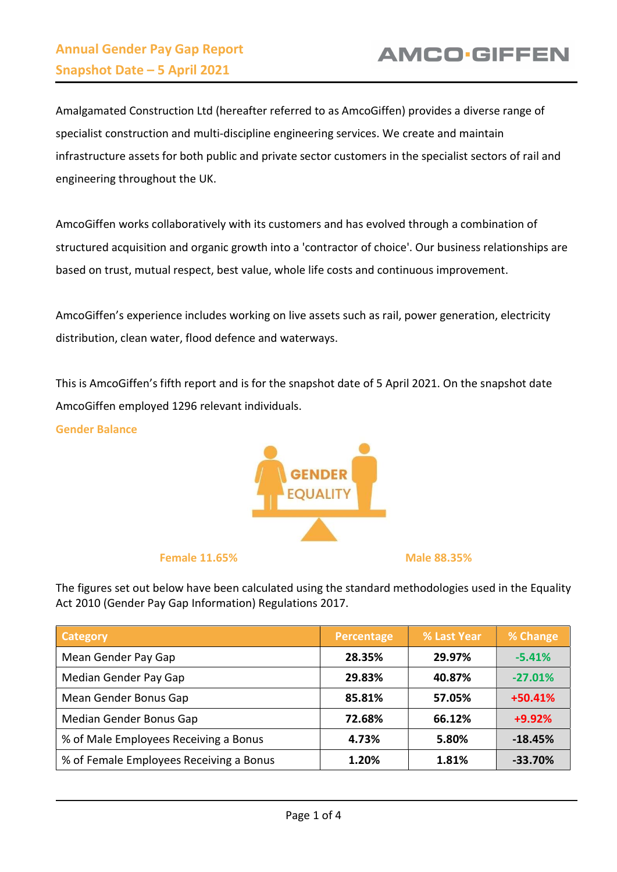Amalgamated Construction Ltd (hereafter referred to as AmcoGiffen) provides a diverse range of specialist construction and multi-discipline engineering services. We create and maintain infrastructure assets for both public and private sector customers in the specialist sectors of rail and engineering throughout the UK.

AmcoGiffen works collaboratively with its customers and has evolved through a combination of structured acquisition and organic growth into a 'contractor of choice'. Our business relationships are based on trust, mutual respect, best value, whole life costs and continuous improvement.

AmcoGiffen's experience includes working on live assets such as rail, power generation, electricity distribution, clean water, flood defence and waterways.

This is AmcoGiffen's fifth report and is for the snapshot date of 5 April 2021. On the snapshot date AmcoGiffen employed 1296 relevant individuals.

Gender Balance



Female 11.65% and the matrix of the Male 88.35%

The figures set out below have been calculated using the standard methodologies used in the Equality Act 2010 (Gender Pay Gap Information) Regulations 2017.

| Category                                | Percentage | % Last Year | % Change  |
|-----------------------------------------|------------|-------------|-----------|
| Mean Gender Pay Gap                     | 28.35%     | 29.97%      | $-5.41%$  |
| Median Gender Pay Gap                   | 29.83%     | 40.87%      | $-27.01%$ |
| Mean Gender Bonus Gap                   | 85.81%     | 57.05%      | $+50.41%$ |
| Median Gender Bonus Gap                 | 72.68%     | 66.12%      | $+9.92%$  |
| % of Male Employees Receiving a Bonus   | 4.73%      | 5.80%       | $-18.45%$ |
| % of Female Employees Receiving a Bonus | 1.20%      | 1.81%       | $-33.70%$ |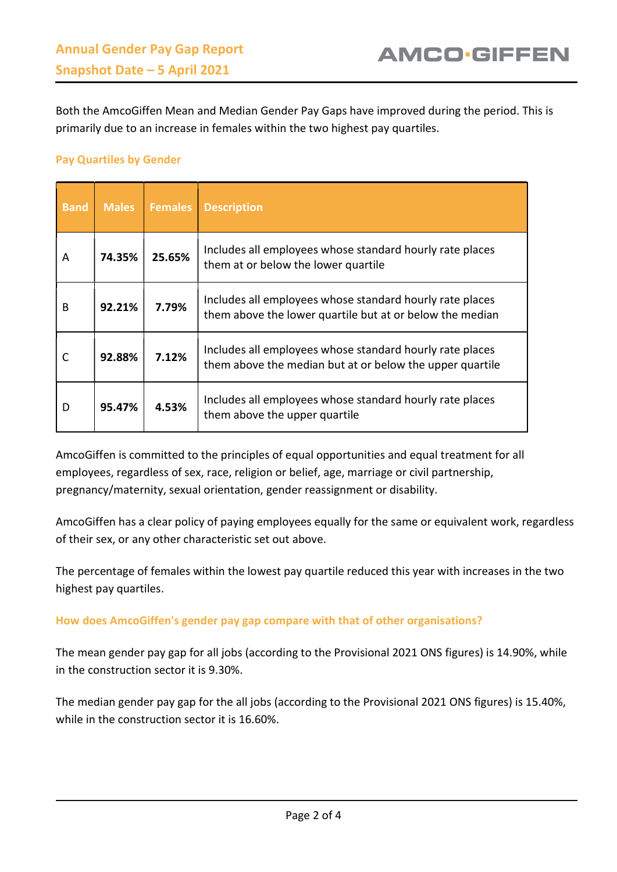Both the AmcoGiffen Mean and Median Gender Pay Gaps have improved during the period. This is primarily due to an increase in females within the two highest pay quartiles.

## Pay Quartiles by Gender

| <b>Band</b> | <b>Males</b> | <b>Females</b> | <b>Description</b>                                                                                                   |
|-------------|--------------|----------------|----------------------------------------------------------------------------------------------------------------------|
| A           | 74.35%       | 25.65%         | Includes all employees whose standard hourly rate places<br>them at or below the lower quartile                      |
| B           | 92.21%       | 7.79%          | Includes all employees whose standard hourly rate places<br>them above the lower quartile but at or below the median |
| C           | 92.88%       | 7.12%          | Includes all employees whose standard hourly rate places<br>them above the median but at or below the upper quartile |
| D           | 95.47%       | 4.53%          | Includes all employees whose standard hourly rate places<br>them above the upper quartile                            |

AmcoGiffen is committed to the principles of equal opportunities and equal treatment for all employees, regardless of sex, race, religion or belief, age, marriage or civil partnership, pregnancy/maternity, sexual orientation, gender reassignment or disability.

AmcoGiffen has a clear policy of paying employees equally for the same or equivalent work, regardless of their sex, or any other characteristic set out above.

The percentage of females within the lowest pay quartile reduced this year with increases in the two highest pay quartiles.

## How does AmcoGiffen's gender pay gap compare with that of other organisations?

The mean gender pay gap for all jobs (according to the Provisional 2021 ONS figures) is 14.90%, while in the construction sector it is 9.30%.

The median gender pay gap for the all jobs (according to the Provisional 2021 ONS figures) is 15.40%, while in the construction sector it is 16.60%.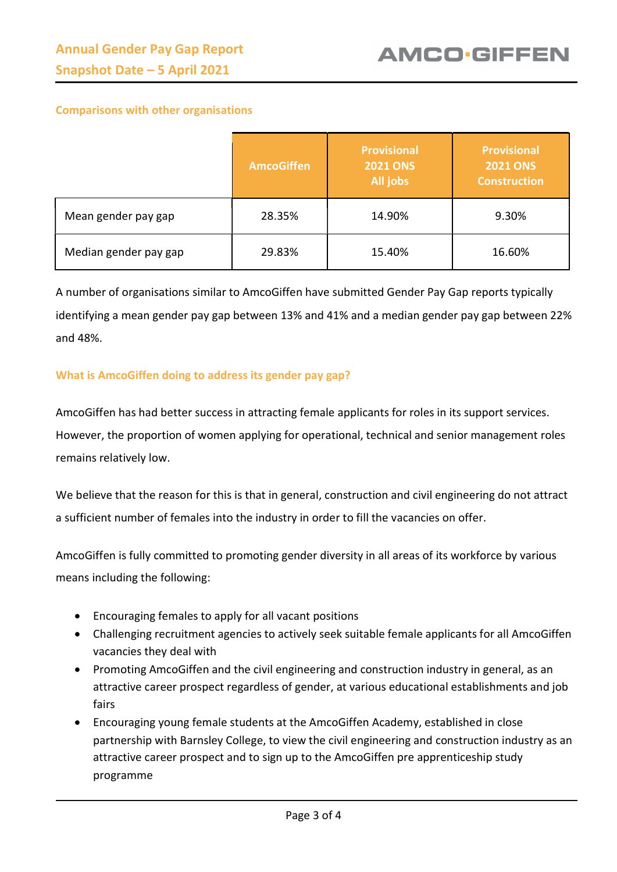## Comparisons with other organisations

|                       | <b>AmcoGiffen</b> | <b>Provisional</b><br><b>2021 ONS</b><br>All jobs | <b>Provisional</b><br><b>2021 ONS</b><br><b>Construction</b> |
|-----------------------|-------------------|---------------------------------------------------|--------------------------------------------------------------|
| Mean gender pay gap   | 28.35%            | 14.90%                                            | 9.30%                                                        |
| Median gender pay gap | 29.83%            | 15.40%                                            | 16.60%                                                       |

A number of organisations similar to AmcoGiffen have submitted Gender Pay Gap reports typically identifying a mean gender pay gap between 13% and 41% and a median gender pay gap between 22% and 48%.

## What is AmcoGiffen doing to address its gender pay gap?

AmcoGiffen has had better success in attracting female applicants for roles in its support services. However, the proportion of women applying for operational, technical and senior management roles remains relatively low.

We believe that the reason for this is that in general, construction and civil engineering do not attract a sufficient number of females into the industry in order to fill the vacancies on offer.

AmcoGiffen is fully committed to promoting gender diversity in all areas of its workforce by various means including the following:

- Encouraging females to apply for all vacant positions
- Challenging recruitment agencies to actively seek suitable female applicants for all AmcoGiffen vacancies they deal with
- Promoting AmcoGiffen and the civil engineering and construction industry in general, as an attractive career prospect regardless of gender, at various educational establishments and job fairs
- Encouraging young female students at the AmcoGiffen Academy, established in close partnership with Barnsley College, to view the civil engineering and construction industry as an attractive career prospect and to sign up to the AmcoGiffen pre apprenticeship study programme